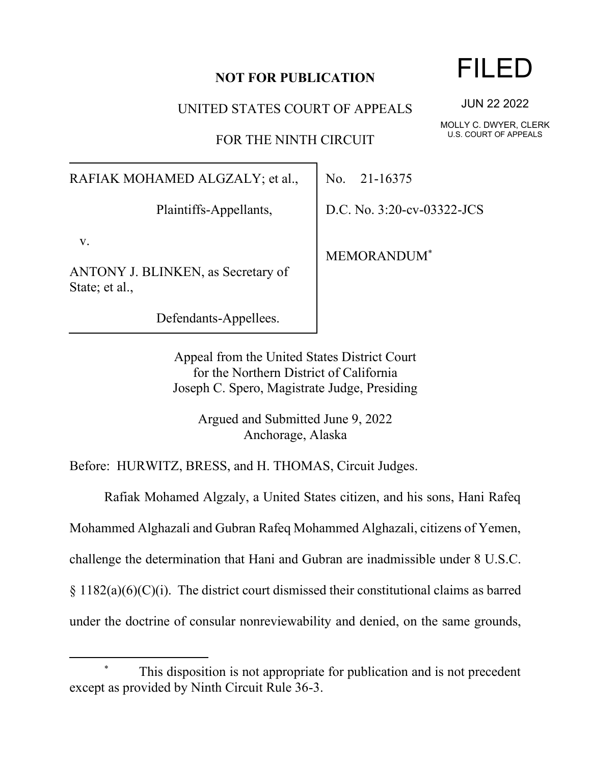## **NOT FOR PUBLICATION**

UNITED STATES COURT OF APPEALS

FOR THE NINTH CIRCUIT

RAFIAK MOHAMED ALGZALY; et al.,

Plaintiffs-Appellants,

v.

ANTONY J. BLINKEN, as Secretary of State; et al.,

Defendants-Appellees.

No. 21-16375

D.C. No. 3:20-cv-03322-JCS

MEMORANDUM\*

Appeal from the United States District Court for the Northern District of California Joseph C. Spero, Magistrate Judge, Presiding

> Argued and Submitted June 9, 2022 Anchorage, Alaska

Before: HURWITZ, BRESS, and H. THOMAS, Circuit Judges.

Rafiak Mohamed Algzaly, a United States citizen, and his sons, Hani Rafeq

Mohammed Alghazali and Gubran Rafeq Mohammed Alghazali, citizens of Yemen,

challenge the determination that Hani and Gubran are inadmissible under 8 U.S.C.

 $\S 1182(a)(6)(C)(i)$ . The district court dismissed their constitutional claims as barred

under the doctrine of consular nonreviewability and denied, on the same grounds,

FILED

JUN 22 2022

MOLLY C. DWYER, CLERK U.S. COURT OF APPEALS

This disposition is not appropriate for publication and is not precedent except as provided by Ninth Circuit Rule 36-3.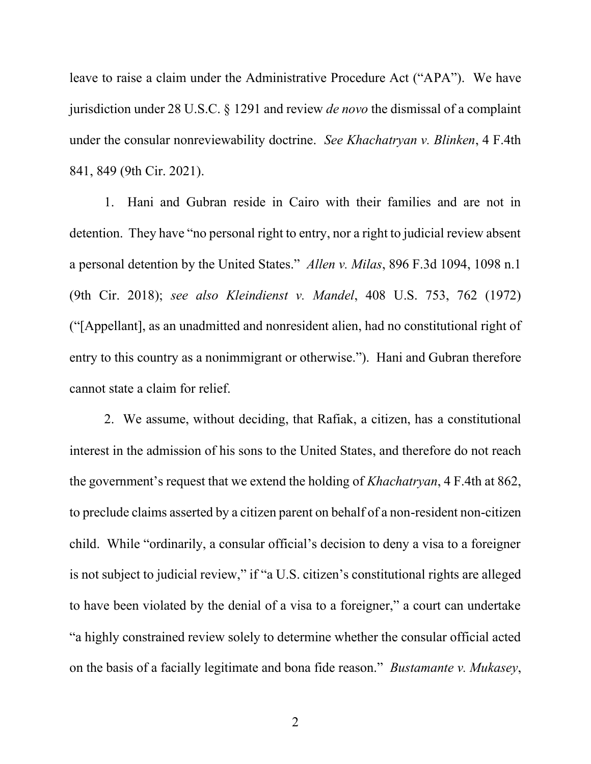leave to raise a claim under the Administrative Procedure Act ("APA"). We have jurisdiction under 28 U.S.C. § 1291 and review *de novo* the dismissal of a complaint under the consular nonreviewability doctrine. *See Khachatryan v. Blinken*, 4 F.4th 841, 849 (9th Cir. 2021).

1. Hani and Gubran reside in Cairo with their families and are not in detention. They have "no personal right to entry, nor a right to judicial review absent a personal detention by the United States." *Allen v. Milas*, 896 F.3d 1094, 1098 n.1 (9th Cir. 2018); *see also Kleindienst v. Mandel*, 408 U.S. 753, 762 (1972) ("[Appellant], as an unadmitted and nonresident alien, had no constitutional right of entry to this country as a nonimmigrant or otherwise."). Hani and Gubran therefore cannot state a claim for relief.

2. We assume, without deciding, that Rafiak, a citizen, has a constitutional interest in the admission of his sons to the United States, and therefore do not reach the government's request that we extend the holding of *Khachatryan*, 4 F.4th at 862, to preclude claims asserted by a citizen parent on behalf of a non-resident non-citizen child. While "ordinarily, a consular official's decision to deny a visa to a foreigner is not subject to judicial review," if "a U.S. citizen's constitutional rights are alleged to have been violated by the denial of a visa to a foreigner," a court can undertake "a highly constrained review solely to determine whether the consular official acted on the basis of a facially legitimate and bona fide reason." *Bustamante v. Mukasey*,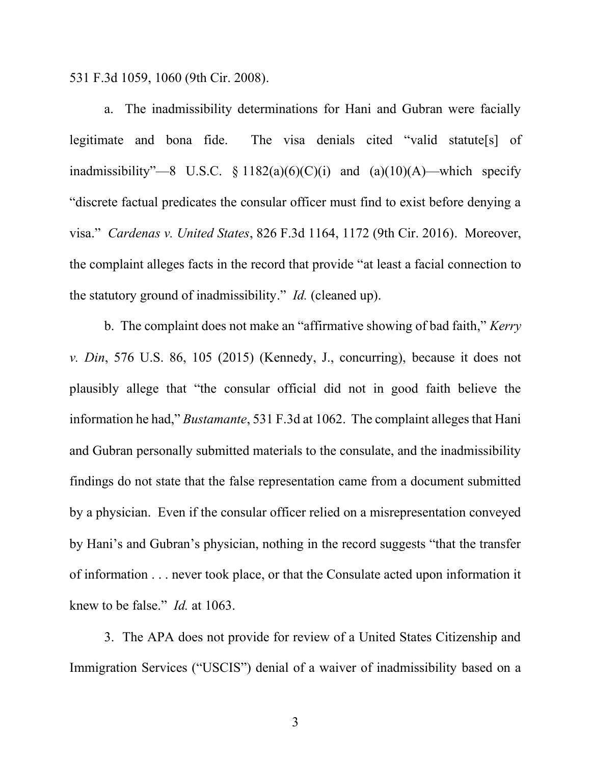531 F.3d 1059, 1060 (9th Cir. 2008).

a. The inadmissibility determinations for Hani and Gubran were facially legitimate and bona fide. The visa denials cited "valid statute[s] of inadmissibility"—8 U.S.C.  $\S 1182(a)(6)(C)(i)$  and  $(a)(10)(A)$ —which specify "discrete factual predicates the consular officer must find to exist before denying a visa." *Cardenas v. United States*, 826 F.3d 1164, 1172 (9th Cir. 2016). Moreover, the complaint alleges facts in the record that provide "at least a facial connection to the statutory ground of inadmissibility." *Id.* (cleaned up).

b. The complaint does not make an "affirmative showing of bad faith," *Kerry v. Din*, 576 U.S. 86, 105 (2015) (Kennedy, J., concurring), because it does not plausibly allege that "the consular official did not in good faith believe the information he had," *Bustamante*, 531 F.3d at 1062. The complaint alleges that Hani and Gubran personally submitted materials to the consulate, and the inadmissibility findings do not state that the false representation came from a document submitted by a physician. Even if the consular officer relied on a misrepresentation conveyed by Hani's and Gubran's physician, nothing in the record suggests "that the transfer of information . . . never took place, or that the Consulate acted upon information it knew to be false." *Id.* at 1063.

3. The APA does not provide for review of a United States Citizenship and Immigration Services ("USCIS") denial of a waiver of inadmissibility based on a